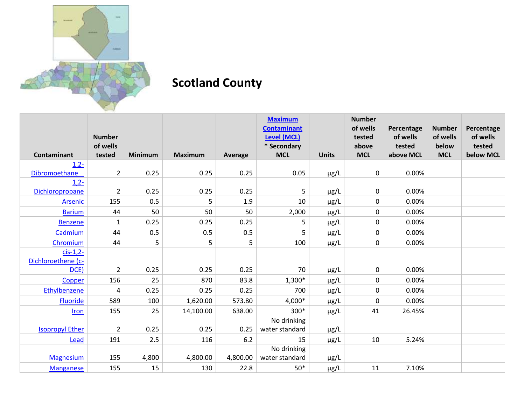

## **Scotland County**

|                        |                           |                |                |          | <b>Maximum</b><br><b>Contaminant</b> |              | <b>Number</b><br>of wells | Percentage         | <b>Number</b>     | Percentage         |
|------------------------|---------------------------|----------------|----------------|----------|--------------------------------------|--------------|---------------------------|--------------------|-------------------|--------------------|
|                        | <b>Number</b><br>of wells |                |                |          | Level (MCL)<br>* Secondary           |              | tested<br>above           | of wells<br>tested | of wells<br>below | of wells<br>tested |
| <b>Contaminant</b>     | tested                    | <b>Minimum</b> | <b>Maximum</b> | Average  | <b>MCL</b>                           | <b>Units</b> | <b>MCL</b>                | above MCL          | <b>MCL</b>        | below MCL          |
| $1,2-$                 |                           |                |                |          |                                      |              |                           |                    |                   |                    |
| Dibromoethane          | $\overline{2}$            | 0.25           | 0.25           | 0.25     | 0.05                                 | $\mu$ g/L    | 0                         | 0.00%              |                   |                    |
| $1,2-$                 |                           |                |                |          |                                      |              |                           |                    |                   |                    |
| Dichloropropane        | $\overline{2}$            | 0.25           | 0.25           | 0.25     | 5                                    | $\mu$ g/L    | 0                         | 0.00%              |                   |                    |
| Arsenic                | 155                       | 0.5            | 5              | 1.9      | 10                                   | µg/L         | 0                         | 0.00%              |                   |                    |
| <b>Barium</b>          | 44                        | 50             | 50             | 50       | 2,000                                | μg/L         | 0                         | 0.00%              |                   |                    |
| <b>Benzene</b>         | $\mathbf{1}$              | 0.25           | 0.25           | 0.25     | 5                                    | μg/L         | 0                         | 0.00%              |                   |                    |
| Cadmium                | 44                        | 0.5            | 0.5            | 0.5      | 5                                    | μg/L         | 0                         | 0.00%              |                   |                    |
| Chromium               | 44                        | 5              | 5              | 5        | 100                                  | μg/L         | 0                         | 0.00%              |                   |                    |
| $cis-1,2-$             |                           |                |                |          |                                      |              |                           |                    |                   |                    |
| Dichloroethene (c-     |                           |                |                |          |                                      |              |                           |                    |                   |                    |
| DCE)                   | 2                         | 0.25           | 0.25           | 0.25     | 70                                   | μg/L         | 0                         | 0.00%              |                   |                    |
| Copper                 | 156                       | 25             | 870            | 83.8     | 1,300*                               | µg/L         | 0                         | 0.00%              |                   |                    |
| Ethylbenzene           | 4                         | 0.25           | 0.25           | 0.25     | 700                                  | µg/L         | 0                         | 0.00%              |                   |                    |
| <b>Fluoride</b>        | 589                       | 100            | 1,620.00       | 573.80   | 4,000*                               | µg/L         | 0                         | 0.00%              |                   |                    |
| Iron                   | 155                       | 25             | 14,100.00      | 638.00   | 300*                                 | $\mu$ g/L    | 41                        | 26.45%             |                   |                    |
|                        |                           |                |                |          | No drinking                          |              |                           |                    |                   |                    |
| <b>Isopropyl Ether</b> | $\overline{2}$            | 0.25           | 0.25           | 0.25     | water standard                       | $\mu$ g/L    |                           |                    |                   |                    |
| Lead                   | 191                       | 2.5            | 116            | 6.2      | 15                                   | $\mu$ g/L    | 10                        | 5.24%              |                   |                    |
|                        |                           |                |                |          | No drinking                          |              |                           |                    |                   |                    |
| <b>Magnesium</b>       | 155                       | 4,800          | 4,800.00       | 4,800.00 | water standard                       | µg/L         |                           |                    |                   |                    |
| <b>Manganese</b>       | 155                       | 15             | 130            | 22.8     | $50*$                                | $\mu$ g/L    | 11                        | 7.10%              |                   |                    |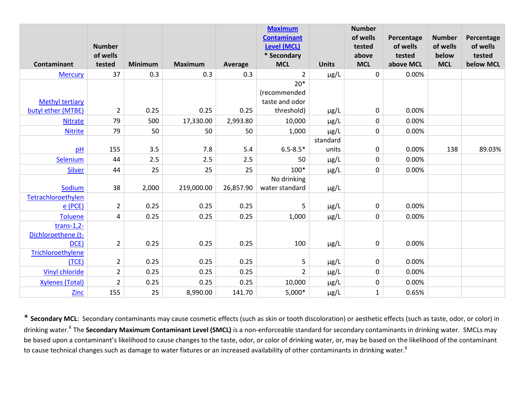|                        | <b>Number</b>  |                |                |           | <b>Maximum</b><br><b>Contaminant</b><br><b>Level (MCL)</b> |              | <b>Number</b><br>of wells<br>tested | Percentage<br>of wells | <b>Number</b><br>of wells | Percentage<br>of wells |
|------------------------|----------------|----------------|----------------|-----------|------------------------------------------------------------|--------------|-------------------------------------|------------------------|---------------------------|------------------------|
|                        | of wells       |                |                |           | * Secondary                                                |              | above                               | tested                 | below                     | tested                 |
| Contaminant            | tested         | <b>Minimum</b> | <b>Maximum</b> | Average   | <b>MCL</b>                                                 | <b>Units</b> | <b>MCL</b>                          | above MCL              | <b>MCL</b>                | below MCL              |
| <b>Mercury</b>         | 37             | 0.3            | 0.3            | 0.3       | 2                                                          | $\mu$ g/L    | $\mathbf 0$                         | 0.00%                  |                           |                        |
|                        |                |                |                |           | $20*$                                                      |              |                                     |                        |                           |                        |
|                        |                |                |                |           | (recommended                                               |              |                                     |                        |                           |                        |
| <b>Methyl tertiary</b> |                |                |                |           | taste and odor                                             |              |                                     |                        |                           |                        |
| butyl ether (MTBE)     | $\overline{2}$ | 0.25           | 0.25           | 0.25      | threshold)                                                 | $\mu$ g/L    | $\pmb{0}$                           | 0.00%                  |                           |                        |
| <b>Nitrate</b>         | 79             | 500            | 17,330.00      | 2,993.80  | 10,000                                                     | $\mu$ g/L    | $\pmb{0}$                           | 0.00%                  |                           |                        |
| <b>Nitrite</b>         | 79             | 50             | 50             | 50        | 1,000                                                      | $\mu$ g/L    | $\pmb{0}$                           | 0.00%                  |                           |                        |
|                        |                |                |                |           |                                                            | standard     |                                     |                        |                           |                        |
| pH                     | 155            | 3.5            | 7.8            | 5.4       | $6.5 - 8.5*$                                               | units        | 0                                   | 0.00%                  | 138                       | 89.03%                 |
| Selenium               | 44             | 2.5            | 2.5            | 2.5       | 50                                                         | $\mu$ g/L    | $\mathbf 0$                         | 0.00%                  |                           |                        |
| <b>Silver</b>          | 44             | 25             | 25             | 25        | $100*$                                                     | $\mu$ g/L    | $\pmb{0}$                           | 0.00%                  |                           |                        |
|                        |                |                |                |           | No drinking                                                |              |                                     |                        |                           |                        |
| Sodium                 | 38             | 2,000          | 219,000.00     | 26,857.90 | water standard                                             | $\mu$ g/L    |                                     |                        |                           |                        |
| Tetrachloroethylen     |                |                |                |           |                                                            |              |                                     |                        |                           |                        |
| $e$ (PCE)              | $\overline{2}$ | 0.25           | 0.25           | 0.25      | 5                                                          | $\mu$ g/L    | $\pmb{0}$                           | 0.00%                  |                           |                        |
| <b>Toluene</b>         | 4              | 0.25           | 0.25           | 0.25      | 1,000                                                      | $\mu$ g/L    | $\pmb{0}$                           | 0.00%                  |                           |                        |
| $trans-1,2-$           |                |                |                |           |                                                            |              |                                     |                        |                           |                        |
| Dichloroethene (t-     |                |                |                |           |                                                            |              |                                     |                        |                           |                        |
| DCE)                   | $\overline{2}$ | 0.25           | 0.25           | 0.25      | 100                                                        | $\mu$ g/L    | $\mathbf 0$                         | 0.00%                  |                           |                        |
| Trichloroethylene      |                |                |                |           |                                                            |              |                                     |                        |                           |                        |
| (TCE)                  | $\overline{2}$ | 0.25           | 0.25           | 0.25      | 5                                                          | $\mu$ g/L    | $\pmb{0}$                           | 0.00%                  |                           |                        |
| Vinyl chloride         | $\overline{2}$ | 0.25           | 0.25           | 0.25      | $\overline{2}$                                             | $\mu$ g/L    | $\pmb{0}$                           | 0.00%                  |                           |                        |
| <b>Xylenes (Total)</b> | $\overline{2}$ | 0.25           | 0.25           | 0.25      | 10,000                                                     | $\mu$ g/L    | $\boldsymbol{0}$                    | 0.00%                  |                           |                        |
| Zinc                   | 155            | 25             | 8,990.00       | 141.70    | $5,000*$                                                   | $\mu$ g/L    | $\mathbf{1}$                        | 0.65%                  |                           |                        |

\* **Secondary MCL**: Secondary contaminants may cause cosmetic effects (such as skin or tooth discoloration) or aesthetic effects (such as taste, odor, or color) in drinking water.<sup>8</sup>The **Secondary Maximum Contaminant Level (SMCL)** is a non-enforceable standard for secondary contaminants in drinking water. SMCLs may be based upon a contaminant's likelihood to cause changes to the taste, odor, or color of drinking water, or, may be based on the likelihood of the contaminant to cause technical changes such as damage to water fixtures or an increased availability of other contaminants in drinking water.<sup>8</sup>